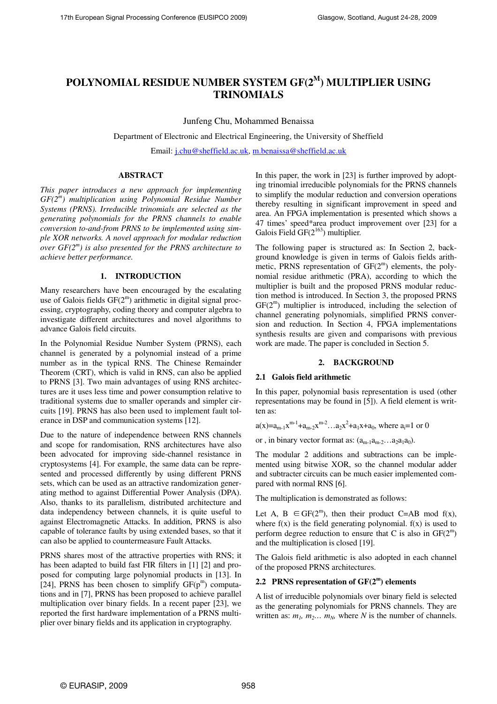# **POLYNOMIAL RESIDUE NUMBER SYSTEM GF(2<sup>M</sup>) MULTIPLIER USING TRINOMIALS**

Junfeng Chu, Mohammed Benaissa

Department of Electronic and Electrical Engineering, the University of Sheffield

Email: j.chu@sheffield.ac.uk, m.benaissa@sheffield.ac.uk

# **ABSTRACT**

*This paper introduces a new approach for implementing GF(2<sup>m</sup> ) multiplication using Polynomial Residue Number Systems (PRNS). Irreducible trinomials are selected as the generating polynomials for the PRNS channels to enable conversion to-and-from PRNS to be implemented using simple XOR networks. A novel approach for modular reduction over GF(2<sup>m</sup> ) is also presented for the PRNS architecture to achieve better performance.* 

# **1. INTRODUCTION**

Many researchers have been encouraged by the escalating use of Galois fields GF(2<sup>m</sup>) arithmetic in digital signal processing, cryptography, coding theory and computer algebra to investigate different architectures and novel algorithms to advance Galois field circuits.

In the Polynomial Residue Number System (PRNS), each channel is generated by a polynomial instead of a prime number as in the typical RNS. The Chinese Remainder Theorem (CRT), which is valid in RNS, can also be applied to PRNS [3]. Two main advantages of using RNS architectures are it uses less time and power consumption relative to traditional systems due to smaller operands and simpler circuits [19]. PRNS has also been used to implement fault tolerance in DSP and communication systems [12].

Due to the nature of independence between RNS channels and scope for randomisation, RNS architectures have also been advocated for improving side-channel resistance in cryptosystems [4]. For example, the same data can be represented and processed differently by using different PRNS sets, which can be used as an attractive randomization generating method to against Differential Power Analysis (DPA). Also, thanks to its parallelism, distributed architecture and data independency between channels, it is quite useful to against Electromagnetic Attacks. In addition, PRNS is also capable of tolerance faults by using extended bases, so that it can also be applied to countermeasure Fault Attacks.

PRNS shares most of the attractive properties with RNS; it has been adapted to build fast FIR filters in [1] [2] and proposed for computing large polynomial products in [13]. In [24], PRNS has been chosen to simplify  $GF(p<sup>m</sup>)$  computations and in [7], PRNS has been proposed to achieve parallel multiplication over binary fields. In a recent paper [23], we reported the first hardware implementation of a PRNS multiplier over binary fields and its application in cryptography.

In this paper, the work in [23] is further improved by adopting trinomial irreducible polynomials for the PRNS channels to simplify the modular reduction and conversion operations thereby resulting in significant improvement in speed and area. An FPGA implementation is presented which shows a 47 times' speed\*area product improvement over [23] for a Galois Field  $GF(2^{163})$  multiplier.

The following paper is structured as: In Section 2, background knowledge is given in terms of Galois fields arithmetic, PRNS representation of  $GF(2<sup>m</sup>)$  elements, the polynomial residue arithmetic (PRA), according to which the multiplier is built and the proposed PRNS modular reduction method is introduced. In Section 3, the proposed PRNS  $GF(2<sup>m</sup>)$  multiplier is introduced, including the selection of channel generating polynomials, simplified PRNS conversion and reduction. In Section 4, FPGA implementations synthesis results are given and comparisons with previous work are made. The paper is concluded in Section 5.

### **2. BACKGROUND**

### **2.1 Galois field arithmetic**

In this paper, polynomial basis representation is used (other representations may be found in [5]). A field element is written as:

$$
a(x)=a_{m-1}x^{m-1}+a_{m-2}x^{m-2}...a_2x^2+a_1x+a_0
$$
, where  $a_i=1$  or 0

or , in binary vector format as:  $(a_{m-1}a_{m-2}...a_{2}a_{1}a_{0})$ .

The modular 2 additions and subtractions can be implemented using bitwise XOR, so the channel modular adder and subtracter circuits can be much easier implemented compared with normal RNS [6].

The multiplication is demonstrated as follows:

Let A,  $B \in GF(2^m)$ , then their product C=AB mod f(x), where  $f(x)$  is the field generating polynomial.  $f(x)$  is used to perform degree reduction to ensure that C is also in  $GF(2<sup>m</sup>)$ and the multiplication is closed [19].

The Galois field arithmetic is also adopted in each channel of the proposed PRNS architectures.

# **2.2 PRNS representation of GF(2<sup>m</sup> ) elements**

A list of irreducible polynomials over binary field is selected as the generating polynomials for PRNS channels. They are written as:  $m_1$ ,  $m_2$ ...  $m_N$ , where *N* is the number of channels.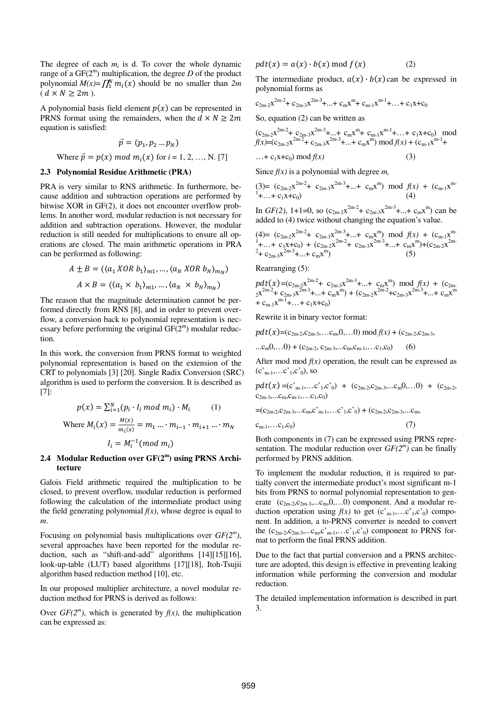The degree of each  $m_i$  is d. To cover the whole dynamic range of a  $GF(2^m)$  multiplication, the degree  $D$  of the product polynomial  $M(x) = \prod_{i=1}^{N} m_i(x)$  should be no smaller than  $2m$  $(d \times N \geq 2m)$ .

A polynomial basis field element  $p(x)$  can be represented in PRNS format using the remainders, when the  $d \times N \geq 2m$ equation is satisfied:

$$
\vec{p} = (p_1, p_2 \dots p_N)
$$
  
Where  $\vec{p} = p(x) \text{ mod } m_i(x) \text{ for } i = 1, 2, ..., N.$  [7]

#### **2.3 Polynomial Residue Arithmetic (PRA)**

PRA is very similar to RNS arithmetic. In furthermore, because addition and subtraction operations are performed by bitwise XOR in GF(2), it does not encounter overflow problems. In another word, modular reduction is not necessary for addition and subtraction operations. However, the modular reduction is still needed for multiplications to ensure all operations are closed. The main arithmetic operations in PRA can be performed as following:

$$
A \pm B = ((a_1 \times OR \ b_1)_{m1}, \dots, (a_N \times OR \ b_N)_{m_N})
$$

$$
A \times B = ((a_1 \times b_1)_{m1}, \dots, (a_N \times b_N)_{m_N})
$$

The reason that the magnitude determination cannot be performed directly from RNS [8], and in order to prevent overflow, a conversion back to polynomial representation is necessary before performing the original  $GF(2<sup>m</sup>)$  modular reduction.

In this work, the conversion from PRNS format to weighted polynomial representation is based on the extension of the CRT to polynomials [3] [20]. Single Radix Conversion (SRC) algorithm is used to perform the conversion. It is described as [7]:

$$
p(x) = \sum_{i=1}^{N} (p_i \cdot l_i \mod m_i) \cdot M_i \qquad (1)
$$
  
Where  $M_i(x) = \frac{M(x)}{m_i(x)} = m_1 \dots \cdot m_{i-1} \cdot m_{i+1} \dots \cdot m_N$   
 $I_i = M_i^{-1} (mod \ m_i)$ 

### **2.4 Modular Reduction over GF(2<sup>m</sup> ) using PRNS Architecture**

Galois Field arithmetic required the multiplication to be closed, to prevent overflow, modular reduction is performed following the calculation of the intermediate product using the field generating polynomial  $f(x)$ , whose degree is equal to *m*.

Focusing on polynomial basis multiplications over  $GF(2<sup>m</sup>)$ , several approaches have been reported for the modular reduction, such as "shift-and-add" algorithms [14][15][16], look-up-table (LUT) based algorithms [17][18], Itoh-Tsujii algorithm based reduction method [10], etc.

In our proposed multiplier architecture, a novel modular reduction method for PRNS is derived as follows:

Over  $GF(2<sup>m</sup>)$ , which is generated by  $f(x)$ , the multiplication can be expressed as:

$$
pdt(x) = a(x) \cdot b(x) \bmod f(x) \tag{2}
$$

The intermediate product,  $a(x) \cdot b(x)$  can be expressed in polynomial forms as

$$
c_{2m-2}x^{2m-2}+c_{2m-3}x^{2m-3}+...+c_{m}x^{m}+c_{m-1}x^{m-1}+...+c_{1}x+c_{0}
$$

So, equation (2) can be written as

$$
(c_{2m-2}x^{2m-2} + c_{2m-3}x^{2m-3} + ... + c_mx^m + c_{m-1}x^{m-1} + ... + c_1x + c_0) \mod f(x) = (c_{2m-2}x^{2m-2} + c_{2m-3}x^{2m-3} + ... + c_mx^m) \mod f(x) + (c_{m-1}x^{m-1} + ... + c_1x + c_0) \mod f(x)
$$
\n(3)

Since  $f(x)$  is a polynomial with degree *m*,

$$
\begin{array}{ll}\n(3) = (c_{2m-2}x^{2m-2} + c_{2m-3}x^{2m-3} + \dots + c_mx^m) \mod f(x) + (c_{m-1}x^{m-1} + \dots + c_1x + c_0) \\
(4)\n\end{array}
$$

In  $GF(2)$ , 1+1=0, so  $(c_{2m-2}x^{2m-2}+ c_{2m-3}x^{2m-3}+...+ c_{m}x^{m})$  can be added to (4) twice without changing the equation's value.

$$
(4) = (c_{2m-2}x^{2m-2} + c_{2m-3}x^{2m-3} + ... + c_mx^m) \mod f(x) + (c_{m-1}x^{m-1} + ... + c_1x+c_0) + (c_{2m-2}x^{2m-2} + c_{2m-3}x^{2m-3} + ... + c_mx^m) + (c_{2m-2}x^{2m-2} + c_{2m-3}x^{2m-3} + ... + c_mx^m)
$$
\n(5)

Rearranging (5):

$$
pdt(x)=(c_{2m-2}x^{2m-2}+c_{2m-3}x^{2m-3}+...+c_{m}x^{m}) \mod f(x) + (c_{2m-2}x^{2m-2}+c_{2m-3}x^{2m-3}+...+c_{m}x^{m}) + (c_{2m-2}x^{2m-2}+c_{2m-3}x^{2m-3}+...+c_{m}x^{m}
$$
  
+  $c_{m-1}x^{m-1}+...+c_{1}x+c_{0}$ )

Rewrite it in binary vector format:

$$
pdf(x)=(c_{2m-2},c_{2m-3},...c_m,0,...0) mod f(x) + (c_{2m-2},c_{2m-3},
$$

...c<sub>m</sub>0,...0) + (c<sub>2m-2</sub>, c<sub>2m-3</sub>,...c<sub>m</sub>,c<sub>m-1</sub>,...c<sub>1</sub>,c<sub>0</sub>) (6)

After mod mod  $f(x)$  operation, the result can be expressed as  $(c<sub>m-1</sub>,...c<sub>1</sub>,c<sub>0</sub>)$ , so

$$
pdt(x) = (c'_{m-1}, \ldots, c'_{1}, c'_{0}) + (c_{2m-2}, c_{2m-3}, \ldots, c_{m}, 0, \ldots, 0) + (c_{2m-2}, c_{2m-3}, \ldots, c_{m}, c_{m-1}, \ldots, c_{1}, c_{0})
$$

 $=(c_{2m-2},c_{2m-3},...c_m,c_{m-1},...c_{1},c_{0}) + (c_{2m-2},c_{2m-3},...c_m,$ 

$$
c_{m-1},\ldots c_1,c_0) \tag{7}
$$

Both components in (7) can be expressed using PRNS representation. The modular reduction over  $GF(2<sup>m</sup>)$  can be finally performed by PRNS addition.

To implement the modular reduction, it is required to partially convert the intermediate product's most significant m-1 bits from PRNS to normal polynomial representation to generate  $(c_{2m-2}, c_{2m-3}, \ldots, c_m, 0, \ldots, 0)$  component. And a modular reduction operation using  $f(x)$  to get  $(c<sub>m-1</sub>,...c<sub>1</sub>,c<sub>0</sub>)$  component. In addition, a to-PRNS converter is needed to convert the  $(c_{2m-2}, c_{2m-3}, \ldots, c_{m}, c_{m-1}, \ldots, c_{1}, c_{0})$  component to PRNS format to perform the final PRNS addition.

Due to the fact that partial conversion and a PRNS architecture are adopted, this design is effective in preventing leaking information while performing the conversion and modular reduction.

The detailed implementation information is described in part 3.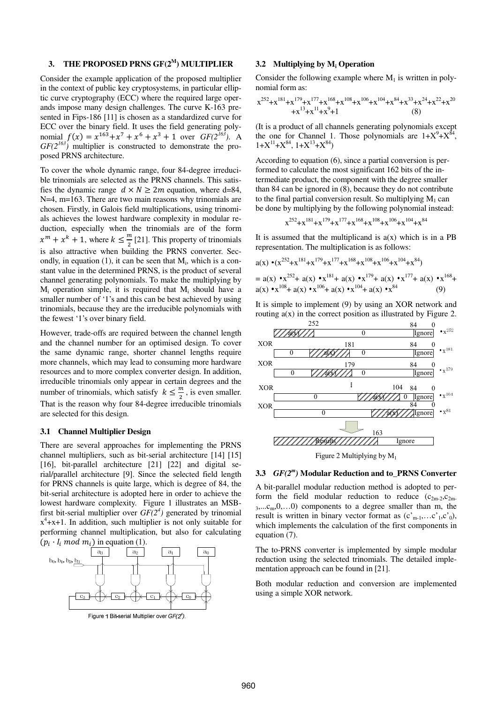# **3. THE PROPOSED PRNS GF(2<sup>M</sup>) MULTIPLIER**

Consider the example application of the proposed multiplier in the context of public key cryptosystems, in particular elliptic curve cryptography (ECC) where the required large operands impose many design challenges. The curve K-163 presented in Fips-186 [11] is chosen as a standardized curve for ECC over the binary field. It uses the field generating polynomial  $f(x) = x^{163} + x^7 + x^6 + x^3 + 1$  over  $GF(2^{163})$ . A  $GF(2^{163})$  multiplier is constructed to demonstrate the proposed PRNS architecture.

To cover the whole dynamic range, four 84-degree irreducible trinomials are selected as the PRNS channels. This satisfies the dynamic range  $d \times N \geq 2m$  equation, where d=84, N=4, m=163. There are two main reasons why trinomials are chosen. Firstly, in Galois field multiplications, using trinomials achieves the lowest hardware complexity in modular reduction, especially when the trinomials are of the form  $x^m + x^k + 1$ , where  $k \leq \frac{m}{2}$  [21]. This property of trinomials is also attractive when building the PRNS converter. Secondly, in equation  $(1)$ , it can be seen that  $M<sub>i</sub>$ , which is a constant value in the determined PRNS, is the product of several channel generating polynomials. To make the multiplying by  $M_i$  operation simple, it is required that  $M_i$  should have a smaller number of '1's and this can be best achieved by using trinomials, because they are the irreducible polynomials with the fewest '1's over binary field.

However, trade-offs are required between the channel length and the channel number for an optimised design. To cover the same dynamic range, shorter channel lengths require more channels, which may lead to consuming more hardware resources and to more complex converter design. In addition, irreducible trinomials only appear in certain degrees and the number of trinomials, which satisfy  $k \leq \frac{m}{2}$ , is even smaller. That is the reason why four 84-degree irreducible trinomials are selected for this design.

#### **3.1 Channel Multiplier Design**

There are several approaches for implementing the PRNS channel multipliers, such as bit-serial architecture [14] [15] [16], bit-parallel architecture [21] [22] and digital serial/parallel architecture [9]. Since the selected field length for PRNS channels is quite large, which is degree of 84, the bit-serial architecture is adopted here in order to achieve the lowest hardware complexity. Figure 1 illustrates an MSBfirst bit-serial multiplier over  $GF(2<sup>4</sup>)$  generated by trinomial  $x^4$ +x+1. In addition, such multiplier is not only suitable for performing channel multiplication, but also for calculating  $(p_i \cdot I_i \text{ mod } m_i)$  in equation (1).



Figure 1 Bit-serial Multiplier over  $GF(2<sup>4</sup>)$ .

#### **3.2 Multiplying by M<sup>i</sup> Operation**

Consider the following example where  $M_1$  is written in polynomial form as:

$$
x^{252}+x^{181}+x^{179}+x^{177}+x^{168}+x^{108}+x^{106}+x^{104}+x^{84}+x^{33}+x^{24}+x^{22}+x^{20}
$$
  
+
$$
x^{13}+x^{11}+x^{9}+1
$$
 (8)

(It is a product of all channels generating polynomials except the one for Channel 1. Those polynomials are  $1+X^9+X^{84}$ ,  $1+X^{11}+X^{84}$ ,  $1+X^{13}+X^{84}$ 

According to equation (6), since a partial conversion is performed to calculate the most significant 162 bits of the intermediate product, the component with the degree smaller than 84 can be ignored in (8), because they do not contribute to the final partial conversion result. So multiplying  $M_1$  can be done by multiplying by the following polynomial instead:

$$
x^{252} + x^{181} + x^{179} + x^{177} + x^{168} + x^{108} + x^{106} + x^{104} + x^{84}
$$

It is assumed that the multiplicand is  $a(x)$  which is in a PB representation. The multiplication is as follows:

$$
a(x) \cdot (x^{252} + x^{181} + x^{179} + x^{177} + x^{168} + x^{108} + x^{106} + x^{104} + x^{84})
$$
  
=  $a(x) \cdot x^{252} + a(x) \cdot x^{181} + a(x) \cdot x^{179} + a(x) \cdot x^{177} + a(x) \cdot x^{168} + a(x) \cdot x^{108} + a(x) \cdot x^{106} + a(x) \cdot x^{104} + a(x) \cdot x^{84}$  (9)

It is simple to implement (9) by using an XOR network and routing  $a(x)$  in the correct position as illustrated by Figure 2.



Figure 2 Multiplying by  $M_1$ 

# **3.3** *GF(2<sup>m</sup> )* **Modular Reduction and to\_PRNS Converter**

A bit-parallel modular reduction method is adopted to perform the field modular reduction to reduce  $(c_{2m-2}, c_{2m-1})$  $3,...c_m,0,...0$  components to a degree smaller than m, the result is written in binary vector format as  $(c<sub>m-1</sub>,...c<sub>1</sub>,c<sub>0</sub>)$ , which implements the calculation of the first components in equation (7).

The to-PRNS converter is implemented by simple modular reduction using the selected trinomials. The detailed implementation approach can be found in [21].

Both modular reduction and conversion are implemented using a simple XOR network.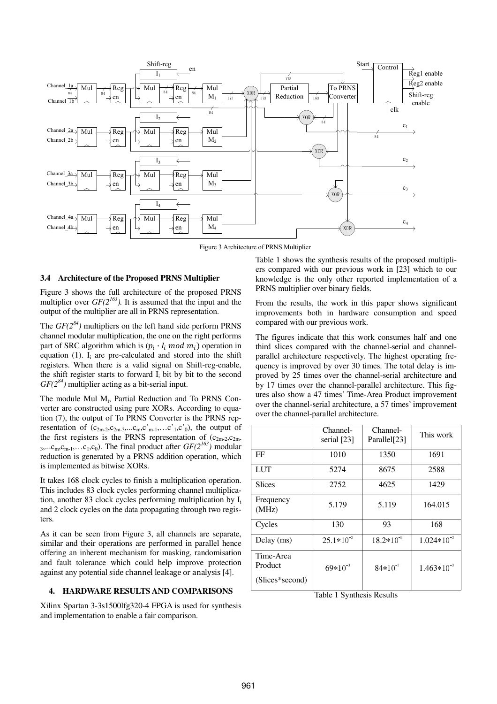

Figure 3 Architecture of PRNS Multiplier

#### **3.4 Architecture of the Proposed PRNS Multiplier**

Figure 3 shows the full architecture of the proposed PRNS multiplier over  $GF(2^{163})$ . It is assumed that the input and the output of the multiplier are all in PRNS representation.

The  $GF(2^{84})$  multipliers on the left hand side perform PRNS channel modular multiplication, the one on the right performs part of SRC algorithm which is  $(p_i \cdot l_i \text{ mod } m_i)$  operation in equation  $(1)$ . I<sub>i</sub> are pre-calculated and stored into the shift registers. When there is a valid signal on Shift-reg-enable, the shift register starts to forward  $I_i$  bit by bit to the second *GF(2<sup>84</sup>)* multiplier acting as a bit-serial input.

The module Mul M<sup>i</sup> , Partial Reduction and To PRNS Converter are constructed using pure XORs. According to equation (7), the output of To PRNS Converter is the PRNS representation of  $(c_{2m-2}, c_{2m-3},...c_{m},c_{m-1},...c_{1},c_{0})$ , the output of the first registers is the PRNS representation of  $(c_{2m-2}, c_{2m-1})$ 3,... $c_m, c_{m-1}, \ldots, c_1, c_0$ ). The final product after  $GF(2^{163})$  modular reduction is generated by a PRNS addition operation, which is implemented as bitwise XORs.

It takes 168 clock cycles to finish a multiplication operation. This includes 83 clock cycles performing channel multiplication, another 83 clock cycles performing multiplication by  $I_i$ and 2 clock cycles on the data propagating through two registers.

As it can be seen from Figure 3, all channels are separate, similar and their operations are performed in parallel hence offering an inherent mechanism for masking, randomisation and fault tolerance which could help improve protection against any potential side channel leakage or analysis [4].

### **4. HARDWARE RESULTS AND COMPARISONS**

Xilinx Spartan 3-3s1500lfg320-4 FPGA is used for synthesis and implementation to enable a fair comparison.

Table 1 shows the synthesis results of the proposed multipliers compared with our previous work in [23] which to our knowledge is the only other reported implementation of a PRNS multiplier over binary fields.

From the results, the work in this paper shows significant improvements both in hardware consumption and speed compared with our previous work.

The figures indicate that this work consumes half and one third slices compared with the channel-serial and channelparallel architecture respectively. The highest operating frequency is improved by over 30 times. The total delay is improved by 25 times over the channel-serial architecture and by 17 times over the channel-parallel architecture. This figures also show a 47 times' Time-Area Product improvement over the channel-serial architecture, a 57 times' improvement over the channel-parallel architecture.

|                                         | Channel-<br>serial [23] | Channel-<br>Parallel[23] | This work       |
|-----------------------------------------|-------------------------|--------------------------|-----------------|
| FF                                      | 1010                    | 1350                     | 1691            |
| <b>LUT</b>                              | 5274                    | 8675                     | 2588            |
| <b>Slices</b>                           | 2752                    | 4625                     | 1429            |
| Frequency<br>(MHz)                      | 5.179                   | 5.119                    | 164.015         |
| Cycles                                  | 130                     | 93                       | 168             |
| Delay (ms)                              | $25.1*10^{-3}$          | $18.2*10^{-3}$           | $1.024*10^{-3}$ |
| Time-Area<br>Product<br>(Slices*second) | $69*10^{-3}$            | $84*10^{-3}$             | $1.463*10^{-3}$ |
|                                         |                         |                          |                 |

Table 1 Synthesis Results